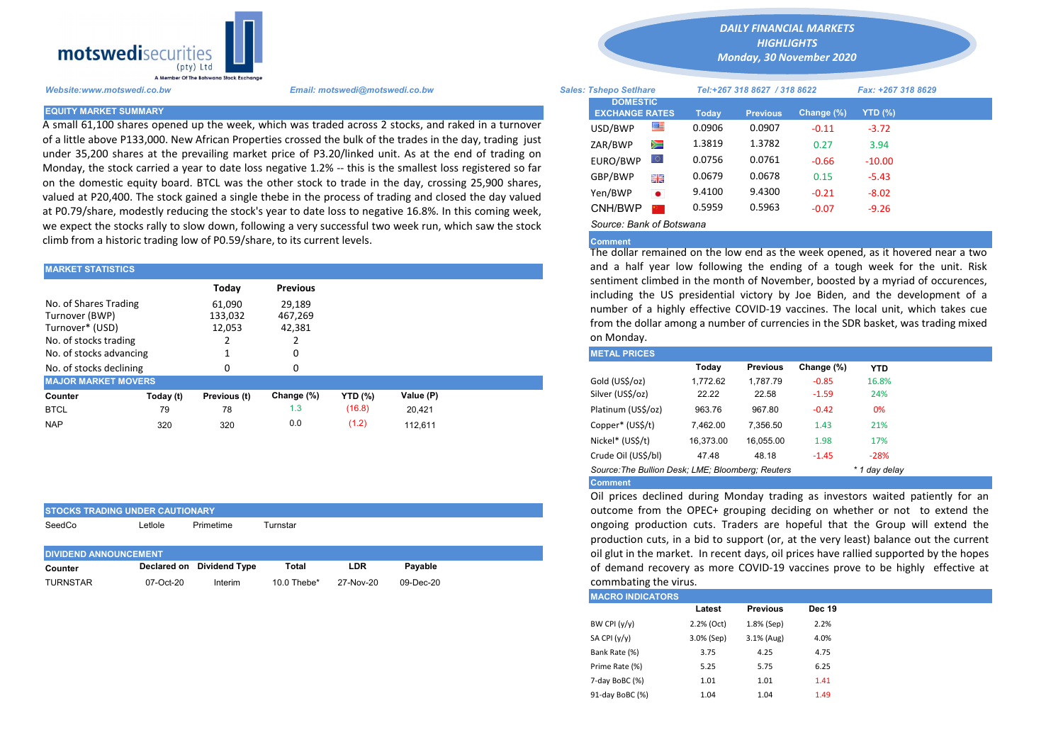

A small 61,100 shares opened up the week, which was traded across 2 stocks, and raked in a turnover of a little above P133,000. New African Properties crossed the bulk of the trades in the day, trading just under 35,200 shares at the prevailing market price of P3.20/linked unit. As at the end of trading on Monday, the stock carried a year to date loss negative 1.2% -- this is the smallest loss registered so far on the domestic equity board. BTCL was the other stock to trade in the day, crossing 25,900 shares, valued at P20,400. The stock gained a single thebe in the process of trading and closed the day valued at P0.79/share, modestly reducing the stock's year to date loss to negative 16.8%. In this coming week, we expect the stocks rally to slow down, following a very successful two week run, which saw the stock climb from a historic trading low of P0.59/share, to its current levels.

| <b>MARKET STATISTICS</b>                                                            |                          |                             |                             | and a half year low following the ending of a tough week fo |           |  |                                                                                                                                                     |                                                                                                                                  |                 |            |            |  |  |  |  |
|-------------------------------------------------------------------------------------|--------------------------|-----------------------------|-----------------------------|-------------------------------------------------------------|-----------|--|-----------------------------------------------------------------------------------------------------------------------------------------------------|----------------------------------------------------------------------------------------------------------------------------------|-----------------|------------|------------|--|--|--|--|
|                                                                                     | Today<br><b>Previous</b> |                             |                             |                                                             |           |  |                                                                                                                                                     | sentiment climbed in the month of November, boosted by a myria<br>including the US presidential victory by Joe Biden, and the de |                 |            |            |  |  |  |  |
| No. of Shares Trading<br>Turnover (BWP)<br>Turnover* (USD)<br>No. of stocks trading |                          | 61,090<br>133,032<br>12,053 | 29,189<br>467,269<br>42,381 |                                                             |           |  | number of a highly effective COVID-19 vaccines. The local unit,<br>from the dollar among a number of currencies in the SDR basket, we<br>on Monday. |                                                                                                                                  |                 |            |            |  |  |  |  |
| No. of stocks advancing                                                             |                          |                             |                             |                                                             |           |  | <b>METAL PRICES</b>                                                                                                                                 |                                                                                                                                  |                 |            |            |  |  |  |  |
| No. of stocks declining                                                             |                          | 0                           | 0                           |                                                             |           |  |                                                                                                                                                     | Today                                                                                                                            | <b>Previous</b> | Change (%) | <b>YTD</b> |  |  |  |  |
| <b>MAJOR MARKET MOVERS</b>                                                          |                          |                             |                             |                                                             |           |  | Gold (US\$/oz)                                                                                                                                      | 1.772.62                                                                                                                         | 1.787.79        | $-0.85$    | 16.8%      |  |  |  |  |
| Counter                                                                             | Today (t)                | Previous (t)                | Change (%)                  | <b>YTD</b> (%)                                              | Value (P) |  | Silver (US\$/oz)                                                                                                                                    | 22.22                                                                                                                            | 22.58           | $-1.59$    | 24%        |  |  |  |  |
| <b>BTCL</b>                                                                         | 79                       | 78                          | 1.3                         | (16.8)                                                      | 20.421    |  | Platinum (US\$/oz)                                                                                                                                  | 963.76                                                                                                                           | 967.80          | $-0.42$    | 0%         |  |  |  |  |
| <b>NAP</b>                                                                          | 320                      | 320                         | 0.0                         | (1.2)                                                       | 112.611   |  | Copper* (US\$/t)                                                                                                                                    | 7,462.00                                                                                                                         | 7.356.50        | 1.43       | 21%        |  |  |  |  |

| <b>ISTOCKS TRADING UNDER CAUTIONARY</b> |                                  |               |                           |           |           |  |  |  |  |  |  |  |
|-----------------------------------------|----------------------------------|---------------|---------------------------|-----------|-----------|--|--|--|--|--|--|--|
| SeedCo                                  | Primetime<br>Turnstar<br>∟etlole |               |                           |           |           |  |  |  |  |  |  |  |
|                                         |                                  |               |                           |           |           |  |  |  |  |  |  |  |
|                                         |                                  |               |                           |           |           |  |  |  |  |  |  |  |
| <b>DIVIDEND ANNOUNCEMENT</b>            |                                  |               |                           |           |           |  |  |  |  |  |  |  |
| Counter                                 | Declared on                      | Dividend Tvpe | Total                     | LDR       | Pavable   |  |  |  |  |  |  |  |
| <b>TURNSTAR</b>                         | 07-Oct-20                        | Interim       | $10.0$ Thebe <sup>*</sup> | 27-Nov-20 | 09-Dec-20 |  |  |  |  |  |  |  |

*DAILY FINANCIAL MARKETS*

*HIGHLIGHTS Monday, 30 November 2020* 

| A Member Of The Botswana Stock Exchange |                                                                                                                                                                                                                   |  |                                                                           |           |                              |                 |            |                    |  |
|-----------------------------------------|-------------------------------------------------------------------------------------------------------------------------------------------------------------------------------------------------------------------|--|---------------------------------------------------------------------------|-----------|------------------------------|-----------------|------------|--------------------|--|
| Website:www.motswedi.co.bw              | Email: motswedi@motswedi.co.bw                                                                                                                                                                                    |  | <b>Sales: Tshepo Setlhare</b><br><b>DOMESTIC</b><br><b>EXCHANGE RATES</b> |           | Tel:+267 318 8627 / 318 8622 |                 |            | Fax: +267 318 8629 |  |
| <b>EQUITY MARKET SUMMARY</b>            |                                                                                                                                                                                                                   |  |                                                                           |           | Today                        | <b>Previous</b> | Change (%) | $YTD(\%)$          |  |
|                                         | A small 61,100 shares opened up the week, which was traded across 2 stocks, and raked in a turnover                                                                                                               |  | USD/BWP                                                                   | ≝         | 0.0906                       | 0.0907          | $-0.11$    | $-3.72$            |  |
|                                         | of a little above P133,000. New African Properties crossed the bulk of the trades in the day, trading just                                                                                                        |  | ZAR/BWP                                                                   | Ň         | 1.3819                       | 1.3782          | 0.27       | 3.94               |  |
|                                         | under 35,200 shares at the prevailing market price of P3.20/linked unit. As at the end of trading on                                                                                                              |  | EURO/BWP                                                                  |           | 0.0756                       | 0.0761          | $-0.66$    | $-10.00$           |  |
|                                         | Monday, the stock carried a year to date loss negative 1.2% -- this is the smallest loss registered so far<br>on the domestic equity board. BTCL was the other stock to trade in the day, crossing 25,900 shares, |  | GBP/BWP                                                                   | 꾉뽅        | 0.0679                       | 0.0678          | 0.15       | $-5.43$            |  |
|                                         | valued at P20,400. The stock gained a single thebe in the process of trading and closed the day valued                                                                                                            |  | Yen/BWP                                                                   | $\bullet$ | 9.4100                       | 9.4300          | $-0.21$    | $-8.02$            |  |
|                                         | at P0.79/share, modestly reducing the stock's year to date loss to negative 16.8%. In this coming week,                                                                                                           |  | CNH/BWP                                                                   |           | 0.5959                       | 0.5963          | $-0.07$    | $-9.26$            |  |
|                                         | we expect the stocks rally to slow down, following a very successful two week run, which saw the stock                                                                                                            |  | Source: Bank of Botswana                                                  |           |                              |                 |            |                    |  |

## **Comment**

The dollar remained on the low end as the week opened, as it hovered near a two and a half year low following the ending of a tough week for the unit. Risk sentiment climbed in the month of November, boosted by a myriad of occurences, including the US presidential victory by Joe Biden, and the development of a number of a highly effective COVID-19 vaccines. The local unit, which takes cue from the dollar among a number of currencies in the SDR basket, was trading mixed on Monday.

| <b>METAL PRICES</b>                               |           |                 |            |               |
|---------------------------------------------------|-----------|-----------------|------------|---------------|
|                                                   | Today     | <b>Previous</b> | Change (%) | <b>YTD</b>    |
| Gold (US\$/oz)                                    | 1.772.62  | 1.787.79        | $-0.85$    | 16.8%         |
| Silver (US\$/oz)                                  | 22.22     | 22.58           | $-1.59$    | 24%           |
| Platinum (US\$/oz)                                | 963.76    | 967.80          | $-0.42$    | 0%            |
| Copper* (US\$/t)                                  | 7.462.00  | 7,356.50        | 1.43       | 21%           |
| Nickel* (US\$/t)                                  | 16.373.00 | 16.055.00       | 1.98       | 17%           |
| Crude Oil (US\$/bl)                               | 47.48     | 48.18           | $-1.45$    | $-28%$        |
| Source: The Bullion Desk: LME: Bloomberg: Reuters |           |                 |            | * 1 day delay |
| <b>Comment</b>                                    |           |                 |            |               |

Oil prices declined during Monday trading as investors waited patiently for an outcome from the OPEC+ grouping deciding on whether or not to extend the ongoing production cuts. Traders are hopeful that the Group will extend the production cuts, in a bid to support (or, at the very least) balance out the current oil glut in the market. In recent days, oil prices have rallied supported by the hopes of demand recovery as more COVID-19 vaccines prove to be highly effective at commbating the virus.

| <b>IMACRO INDICATORS</b> |            |                 |               |
|--------------------------|------------|-----------------|---------------|
|                          | Latest     | <b>Previous</b> | <b>Dec 19</b> |
| BW CPI $(y/y)$           | 2.2% (Oct) | 1.8% (Sep)      | 2.2%          |
| SA CPI (y/y)             | 3.0% (Sep) | $3.1%$ (Aug)    | 4.0%          |
| Bank Rate (%)            | 3.75       | 4.25            | 4.75          |
| Prime Rate (%)           | 5.25       | 5.75            | 6.25          |
| 7-day BoBC (%)           | 1.01       | 1.01            | 1.41          |
| 91-day BoBC (%)          | 1.04       | 1.04            | 1.49          |